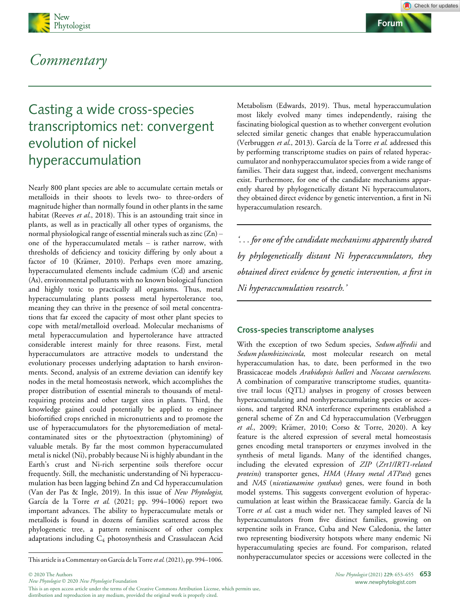



## Commentary

# Casting a wide cross-species transcriptomics net: convergent evolution of nickel hyperaccumulation

Nearly 800 plant species are able to accumulate certain metals or metalloids in their shoots to levels two- to three-orders of magnitude higher than normally found in other plants in the same habitat (Reeves et al., 2018). This is an astounding trait since in plants, as well as in practically all other types of organisms, the normal physiological range of essential minerals such as zinc  $(Zn)$  – one of the hyperaccumulated metals – is rather narrow, with thresholds of deficiency and toxicity differing by only about a factor of 10 (Krämer, 2010). Perhaps even more amazing, hyperaccumulated elements include cadmium (Cd) and arsenic (As), environmental pollutants with no known biological function and highly toxic to practically all organisms. Thus, metal hyperaccumulating plants possess metal hypertolerance too, meaning they can thrive in the presence of soil metal concentrations that far exceed the capacity of most other plant species to cope with metal/metalloid overload. Molecular mechanisms of metal hyperaccumulation and hypertolerance have attracted considerable interest mainly for three reasons. First, metal hyperaccumulators are attractive models to understand the evolutionary processes underlying adaptation to harsh environments. Second, analysis of an extreme deviation can identify key nodes in the metal homeostasis network, which accomplishes the proper distribution of essential minerals to thousands of metalrequiring proteins and other target sites in plants. Third, the knowledge gained could potentially be applied to engineer biofortified crops enriched in micronutrients and to promote the use of hyperaccumulators for the phytoremediation of metalcontaminated sites or the phytoextraction (phytomining) of valuable metals. By far the most common hyperaccumulated metal is nickel (Ni), probably because Ni is highly abundant in the Earth's crust and Ni-rich serpentine soils therefore occur frequently. Still, the mechanistic understanding of Ni hyperaccumulation has been lagging behind Zn and Cd hyperaccumulation (Van der Pas & Ingle, 2019). In this issue of New Phytologist, García de la Torre *et al*. (2021; pp. 994–1006) report two important advances. The ability to hyperaccumulate metals or metalloids is found in dozens of families scattered across the phylogenetic tree, a pattern reminiscent of other complex adaptations including C4 photosynthesis and Crassulacean Acid

Metabolism (Edwards, 2019). Thus, metal hyperaccumulation most likely evolved many times independently, raising the fascinating biological question as to whether convergent evolution selected similar genetic changes that enable hyperaccumulation (Verbruggen *et al*., 2013). García de la Torre *et al*. addressed this by performing transcriptome studies on pairs of related hyperaccumulator and nonhyperaccumulator species from a wide range of families. Their data suggest that, indeed, convergent mechanisms exist. Furthermore, for one of the candidate mechanisms apparently shared by phylogenetically distant Ni hyperaccumulators, they obtained direct evidence by genetic intervention, a first in Ni hyperaccumulation research.

'... for one of the candidate mechanisms apparently shared by phylogenetically distant Ni hyperaccumulators, they obtained direct evidence by genetic intervention, a first in Ni hyperaccumulation research.'

### Cross-species transcriptome analyses

With the exception of two Sedum species, Sedum alfredii and Sedum plumbizincicola, most molecular research on metal hyperaccumulation has, to date, been performed in the two Brassicaceae models Arabidopsis halleri and Noccaea caerulescens. A combination of comparative transcriptome studies, quantitative trail locus (QTL) analyses in progeny of crosses between hyperaccumulating and nonhyperaccumulating species or accessions, and targeted RNA interference experiments established a general scheme of Zn and Cd hyperaccumulation (Verbruggen et al., 2009; Krämer, 2010; Corso & Torre, 2020). A key feature is the altered expression of several metal homeostasis genes encoding metal transporters or enzymes involved in the synthesis of metal ligands. Many of the identified changes, including the elevated expression of ZIP (Zrt1/IRT1-related proteins) transporter genes, HMA (Heavy metal ATPase) genes and NAS (nicotianamine synthase) genes, were found in both model systems. This suggests convergent evolution of hyperaccumulation at least within the Brassicaceae family. García de la Torre et al. cast a much wider net. They sampled leaves of Ni hyperaccumulators from five distinct families, growing on serpentine soils in France, Cuba and New Caledonia, the latter two representing biodiversity hotspots where many endemic Ni hyperaccumulating species are found. For comparison, related nonhyperaccumulator species or accessions were collected in the

New Phytologist © 2020 New Phytologist Foundation

This article is a Commentary on García de la Torre et al. (2021), pp. 994-1006.

This is an open access article under the terms of the [Creative Commons Attribution](http://creativecommons.org/licenses/by/4.0/) License, which permits use, distribution and reproduction in any medium, provided the original work is properly cited.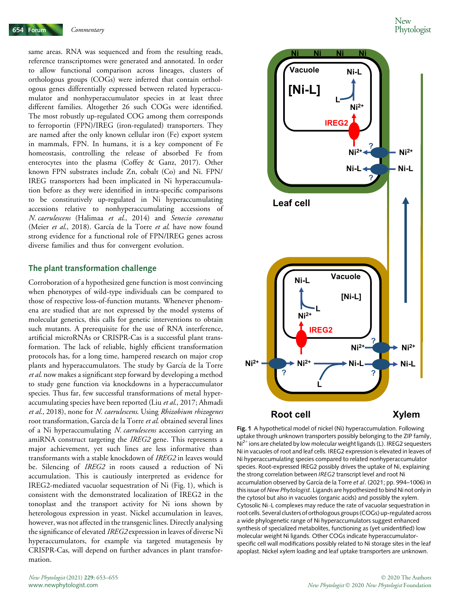same areas. RNA was sequenced and from the resulting reads, reference transcriptomes were generated and annotated. In order to allow functional comparison across lineages, clusters of orthologous groups (COGs) were inferred that contain orthologous genes differentially expressed between related hyperaccumulator and nonhyperaccumulator species in at least three different families. Altogether 26 such COGs were identified. The most robustly up-regulated COG among them corresponds to ferroportin (FPN)/IREG (iron-regulated) transporters. They are named after the only known cellular iron (Fe) export system in mammals, FPN. In humans, it is a key component of Fe homeostasis, controlling the release of absorbed Fe from enterocytes into the plasma (Coffey & Ganz, 2017). Other known FPN substrates include Zn, cobalt (Co) and Ni. FPN/ IREG transporters had been implicated in Ni hyperaccumulation before as they were identified in intra-specific comparisons to be constitutively up-regulated in Ni hyperaccumulating accessions relative to nonhyperaccumulating accessions of N. caerulescens (Halimaa et al., 2014) and Senecio coronatus (Meier *et al*., 2018). García de la Torre *et al*. have now found strong evidence for a functional role of FPN/IREG genes across diverse families and thus for convergent evolution.

#### The plant transformation challenge

Corroboration of a hypothesized gene function is most convincing when phenotypes of wild-type individuals can be compared to those of respective loss-of-function mutants. Whenever phenomena are studied that are not expressed by the model systems of molecular genetics, this calls for genetic interventions to obtain such mutants. A prerequisite for the use of RNA interference, artificial microRNAs or CRISPR-Cas is a successful plant transformation. The lack of reliable, highly efficient transformation protocols has, for a long time, hampered research on major crop plants and hyperaccumulators. The study by García de la Torre et al. now makes a significant step forward by developing a method to study gene function via knockdowns in a hyperaccumulator species. Thus far, few successful transformations of metal hyperaccumulating species have been reported (Liu et al., 2017; Ahmadi et al., 2018), none for N. caerulescens. Using Rhizobium rhizogenes root transformation, García de la Torre *et al*. obtained several lines of a Ni hyperaccumulating N. caerulescens accession carrying an amiRNA construct targeting the IREG2 gene. This represents a major achievement, yet such lines are less informative than transformants with a stable knockdown of IREG2 in leaves would be. Silencing of IREG2 in roots caused a reduction of Ni accumulation. This is cautiously interpreted as evidence for IREG2-mediated vacuolar sequestration of Ni (Fig. 1), which is consistent with the demonstrated localization of IREG2 in the tonoplast and the transport activity for Ni ions shown by heterologous expression in yeast. Nickel accumulation in leaves, however, was not affected in the transgenic lines. Directly analysing the significance of elevated IREG2 expression in leaves of diverse Ni hyperaccumulators, for example via targeted mutagenesis by CRISPR-Cas, will depend on further advances in plant transformation.



Fig. 1 A hypothetical model of nickel (Ni) hyperaccumulation. Following uptake through unknown transporters possibly belonging to the ZIP family,  $Ni<sup>2+</sup>$  ions are chelated by low molecular weight ligands (L). IREG2 sequesters Ni in vacuoles of root and leaf cells. IREG2 expression is elevated in leaves of Ni hyperaccumulating species compared to related nonhyperaccumulator species. Root-expressed IREG2 possibly drives the uptake of Ni, explaining the strong correlation between IREG2 transcript level and root Ni accumulation observed by García de la Torre *et al*. (2021; pp. 994–1006) in<br>this issue of New *Phytologist,* Ligands are hypothesized to bind Ni not only in this issue of New Phytologist. Ligands are hypothesized to bind Ni not only in the cytosol but also in vacuoles (organic acids) and possibly the xylem. Cytosolic Ni–L complexes may reduce the rate of vacuolar sequestration in root cells. Several clusters of orthologous groups (COGs) up-regulated across a wide phylogenetic range of Ni hyperaccumulators suggest enhanced synthesis of specialized metabolites, functioning as (yet unidentified) low molecular weight Ni ligands. Other COGs indicate hyperaccumulatorspecific cell wall modifications possibly related to Ni storage sites in the leaf apoplast. Nickel xylem loading and leaf uptake transporters are unknown.